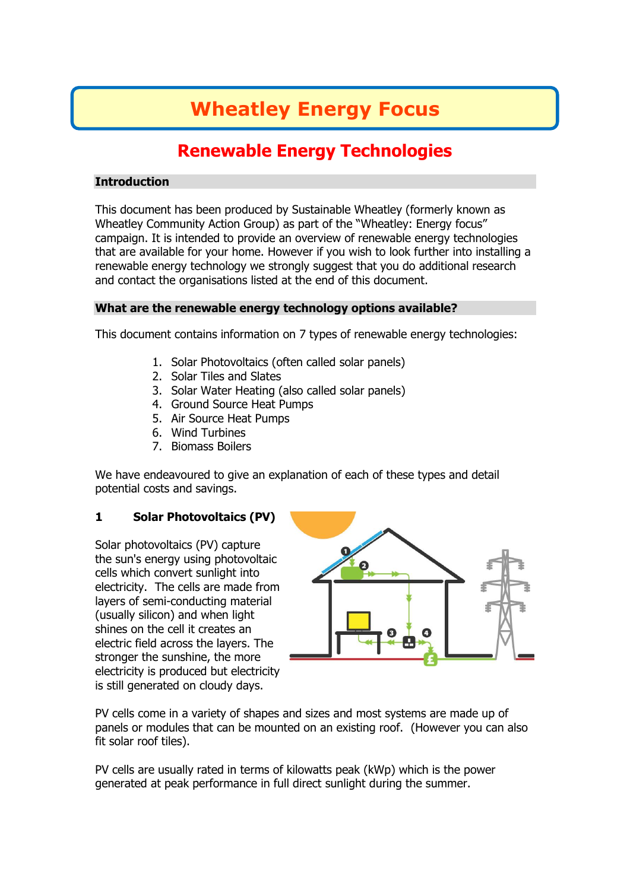# **Wheatley Energy Focus**

# **Renewable Energy Technologies**

#### **Introduction**

This document has been produced by Sustainable Wheatley (formerly known as Wheatley Community Action Group) as part of the "Wheatley: Energy focus" campaign. It is intended to provide an overview of renewable energy technologies that are available for your home. However if you wish to look further into installing a renewable energy technology we strongly suggest that you do additional research and contact the organisations listed at the end of this document.

#### **What are the renewable energy technology options available?**

This document contains information on 7 types of renewable energy technologies:

- 1. Solar Photovoltaics (often called solar panels)
- 2. Solar Tiles and Slates
- 3. Solar Water Heating (also called solar panels)
- 4. Ground Source Heat Pumps
- 5. Air Source Heat Pumps
- 6. Wind Turbines
- 7. Biomass Boilers

We have endeavoured to give an explanation of each of these types and detail potential costs and savings.

#### **1 Solar Photovoltaics (PV)**

Solar photovoltaics (PV) capture the sun's energy using photovoltaic cells which convert sunlight into electricity. The cells are made from layers of semi-conducting material (usually silicon) and when light shines on the cell it creates an electric field across the layers. The stronger the sunshine, the more electricity is produced but electricity is still generated on cloudy days.



PV cells come in a variety of shapes and sizes and most systems are made up of panels or modules that can be mounted on an existing roof. (However you can also fit solar roof tiles).

PV cells are usually rated in terms of kilowatts peak (kWp) which is the power generated at peak performance in full direct sunlight during the summer.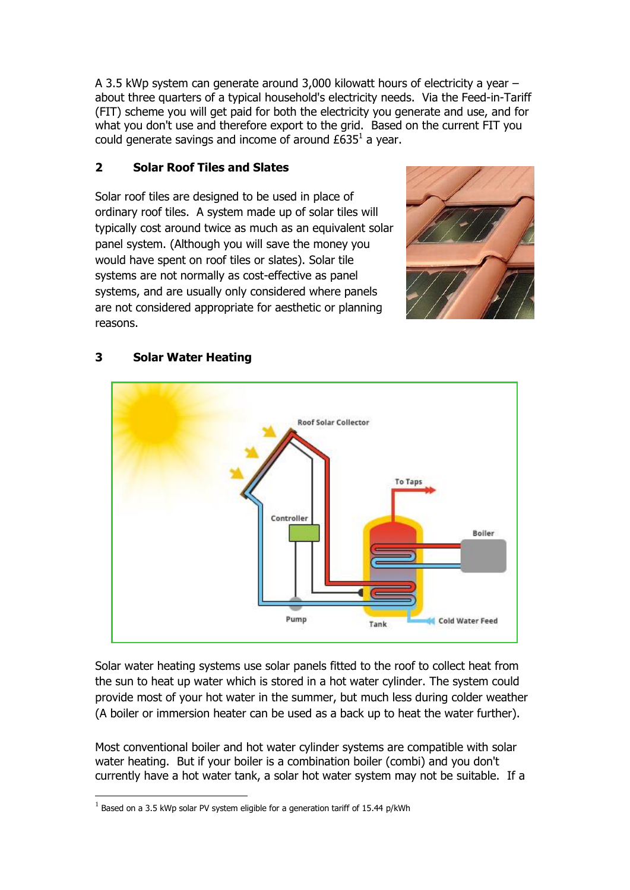A 3.5 kWp system can generate around 3,000 kilowatt hours of electricity a year – about three quarters of a typical household's electricity needs. Via the Feed-in-Tariff (FIT) scheme you will get paid for both the electricity you generate and use, and for what you don't use and therefore export to the grid. Based on the current FIT you could generate savings and income of around  $£635<sup>1</sup>$  a year.

### **2 Solar Roof Tiles and Slates**

Solar roof tiles are designed to be used in place of ordinary roof tiles. A system made up of solar tiles will typically cost around twice as much as an equivalent solar panel system. (Although you will save the money you would have spent on roof tiles or slates). Solar tile systems are not normally as cost-effective as panel systems, and are usually only considered where panels are not considered appropriate for aesthetic or planning reasons.





# **3 Solar Water Heating**

Solar water heating systems use solar panels fitted to the roof to collect heat from the sun to heat up water which is stored in a hot water cylinder. The system could provide most of your hot water in the summer, but much less during colder weather (A boiler or immersion heater can be used as a back up to heat the water further).

Most conventional boiler and hot water cylinder systems are compatible with solar water heating. But if your boiler is a combination boiler (combi) and you don't currently have a hot water tank, a solar hot water system may not be suitable. If a

1

 $^1$  Based on a 3.5 kWp solar PV system eligible for a generation tariff of 15.44 p/kWh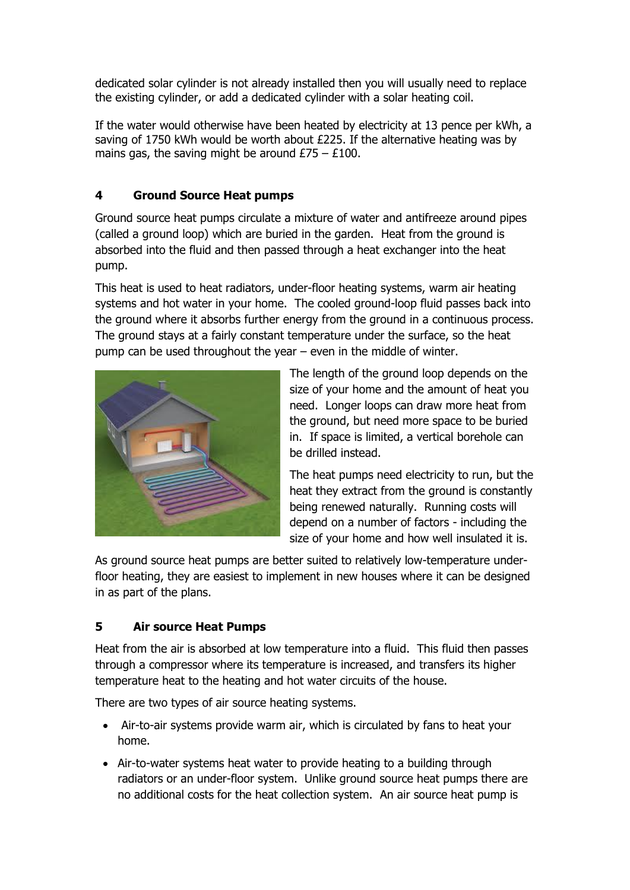dedicated solar cylinder is not already installed then you will usually need to replace the existing cylinder, or add a dedicated cylinder with a solar heating coil.

If the water would otherwise have been heated by electricity at 13 pence per kWh, a saving of 1750 kWh would be worth about £225. If the alternative heating was by mains gas, the saving might be around  $£75 - £100$ .

# **4 Ground Source Heat pumps**

Ground source heat pumps circulate a mixture of water and antifreeze around pipes (called a ground loop) which are buried in the garden. Heat from the ground is absorbed into the fluid and then passed through a heat exchanger into the heat pump.

This heat is used to heat radiators, under-floor heating systems, warm air heating systems and hot water in your home. The cooled ground-loop fluid passes back into the ground where it absorbs further energy from the ground in a continuous process. The ground stays at a fairly constant temperature under the surface, so the heat pump can be used throughout the year – even in the middle of winter.



The length of the ground loop depends on the size of your home and the amount of heat you need. Longer loops can draw more heat from the ground, but need more space to be buried in. If space is limited, a vertical borehole can be drilled instead.

The heat pumps need electricity to run, but the heat they extract from the ground is constantly being renewed naturally. Running costs will depend on a number of factors - including the size of your home and how well insulated it is.

As ground source heat pumps are better suited to relatively low-temperature underfloor heating, they are easiest to implement in new houses where it can be designed in as part of the plans.

## **5 Air source Heat Pumps**

Heat from the air is absorbed at low temperature into a fluid. This fluid then passes through a compressor where its temperature is increased, and transfers its higher temperature heat to the heating and hot water circuits of the house.

There are two types of air source heating systems.

- Air-to-air systems provide warm air, which is circulated by fans to heat your home.
- Air-to-water systems heat water to provide heating to a building through radiators or an under-floor system. Unlike ground source heat pumps there are no additional costs for the heat collection system. An air source heat pump is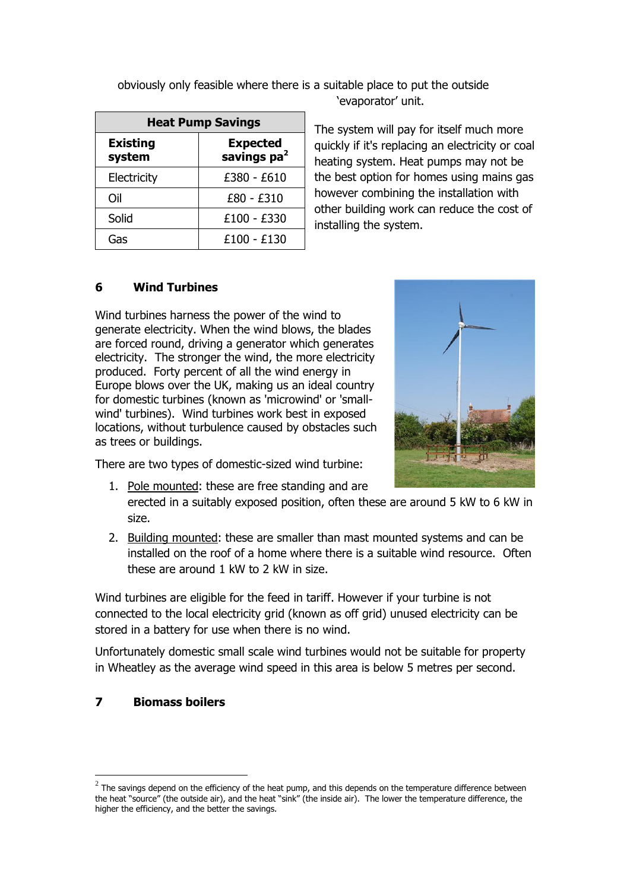| <b>Heat Pump Savings</b>  |                                            |  |
|---------------------------|--------------------------------------------|--|
| <b>Existing</b><br>system | <b>Expected</b><br>savings pa <sup>2</sup> |  |
| Electricity               | £380 - £610                                |  |
| Oil                       | £80 - £310                                 |  |
| Solid                     | £100 - £330                                |  |
| Gas                       | £100 - £130                                |  |

obviously only feasible where there is a suitable place to put the outside 'evaporator' unit.

> The system will pay for itself much more quickly if it's replacing an electricity or coal heating system. Heat pumps may not be the best option for homes using mains gas however combining the installation with other building work can reduce the cost of installing the system.

#### **6 Wind Turbines**

Wind turbines harness the power of the wind to generate electricity. When the wind blows, the blades are forced round, driving a generator which generates electricity. The stronger the wind, the more electricity produced. Forty percent of all the wind energy in Europe blows over the UK, making us an ideal country for domestic turbines (known as 'microwind' or 'smallwind' turbines). Wind turbines work best in exposed locations, without turbulence caused by obstacles such as trees or buildings.



There are two types of domestic-sized wind turbine:

- 1. Pole mounted: these are free standing and are erected in a suitably exposed position, often these are around 5 kW to 6 kW in size.
- 2. Building mounted: these are smaller than mast mounted systems and can be installed on the roof of a home where there is a suitable wind resource. Often these are around 1 kW to 2 kW in size.

Wind turbines are eligible for the feed in tariff. However if your turbine is not connected to the local electricity grid (known as [off grid\)](http://www.energysavingtrust.org.uk/Generating-energy/Getting-started-with-renewables/Off-grid) unused electricity can be stored in a battery for use when there is no wind.

Unfortunately domestic small scale wind turbines would not be suitable for property in Wheatley as the average wind speed in this area is below 5 metres per second.

#### **7 Biomass boilers**

<u>.</u>

 $^2$  The savings depend on the efficiency of the heat pump, and this depends on the temperature difference between the heat "source" (the outside air), and the heat "sink" (the inside air). The lower the temperature difference, the higher the efficiency, and the better the savings.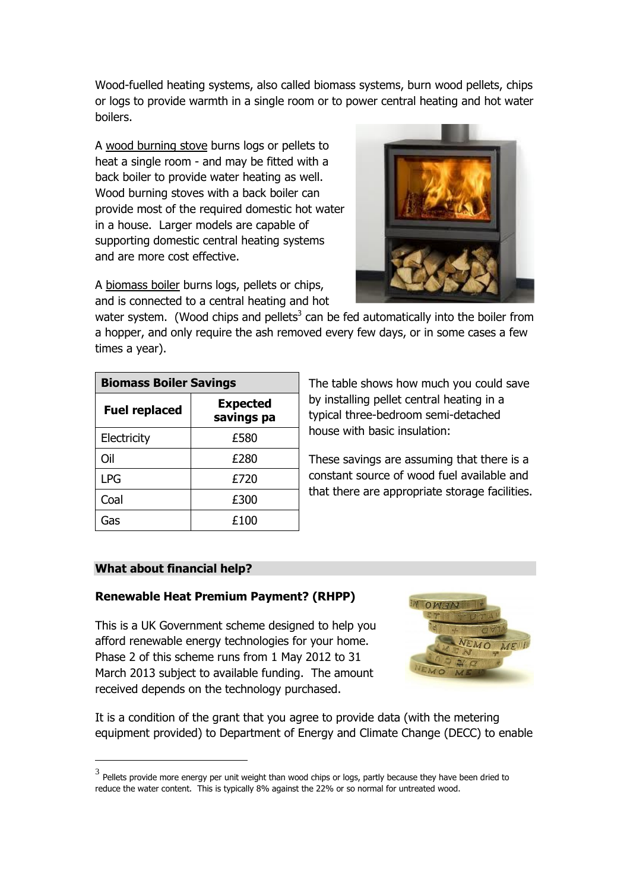Wood-fuelled heating systems, also called biomass systems, burn wood pellets, chips or logs to provide warmth in a single room or to power central heating and hot water boilers.

A wood burning stove burns logs or pellets to heat a single room - and may be fitted with a back boiler to provide water heating as well. Wood burning stoves with a back boiler can provide most of the required domestic hot water in a house. Larger models are capable of supporting domestic central heating systems and are more cost effective.



A biomass boiler burns logs, pellets or chips, and is connected to a central heating and hot

water system. (Wood chips and pellets<sup>3</sup> can be fed automatically into the boiler from a hopper, and only require the ash removed every few days, or in some cases a few times a year).

| <b>Biomass Boiler Savings</b> |                               |  |
|-------------------------------|-------------------------------|--|
| <b>Fuel replaced</b>          | <b>Expected</b><br>savings pa |  |
| Electricity                   | £580                          |  |
| Oil                           | £280                          |  |
| <b>LPG</b>                    | £720                          |  |
| Coal                          | £300                          |  |
| Gas                           | £100                          |  |

The table shows how much you could save by installing pellet central heating in a typical three-bedroom semi-detached house with basic insulation:

These savings are assuming that there is a constant source of wood fuel available and that there are appropriate storage facilities.

#### **What about financial help?**

<u>.</u>

#### **Renewable Heat Premium Payment? (RHPP)**

This is a UK Government scheme designed to help you afford renewable energy technologies for your home. Phase 2 of this scheme runs from 1 May 2012 to 31 March 2013 subject to available funding. The amount received depends on the technology purchased.



It is a condition of the grant that you agree to provide data (with the metering equipment provided) to Department of Energy and Climate Change (DECC) to enable

 $^3$  Pellets provide more energy per unit weight than wood chips or logs, partly because they have been dried to reduce the water content. This is typically 8% against the 22% or so normal for untreated wood.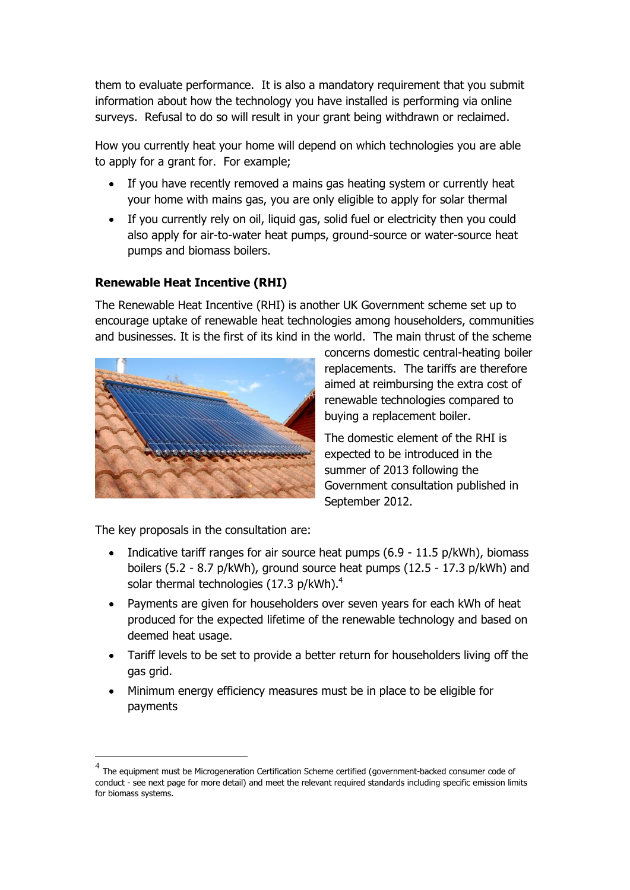them to evaluate performance. It is also a mandatory requirement that you submit information about how the technology you have installed is performing via online surveys. Refusal to do so will result in your grant being withdrawn or reclaimed.

How you currently heat your home will depend on which technologies you are able to apply for a grant for. For example;

- If you have recently removed a mains gas heating system or currently heat your home with mains gas, you are only eligible to apply for solar thermal
- If you currently rely on oil, liquid gas, solid fuel or electricity then you could also apply for air-to-water heat pumps, ground-source or water-source heat pumps and biomass boilers.

#### **Renewable Heat Incentive (RHI)**

The Renewable Heat Incentive (RHI) is another UK Government scheme set up to encourage uptake of renewable heat technologies among householders, communities and businesses. It is the first of its kind in the world. The main thrust of the scheme



concerns domestic central-heating boiler replacements. The tariffs are therefore aimed at reimbursing the extra cost of renewable technologies compared to buying a replacement boiler.

The domestic element of the RHI is expected to be introduced in the summer of 2013 following the Government consultation published in September 2012.

The key proposals in the consultation are:

1

- Indicative tariff ranges for air source heat pumps  $(6.9 11.5 \text{ p/kWh})$ , biomass boilers (5.2 - 8.7 p/kWh), ground source heat pumps (12.5 - 17.3 p/kWh) and solar thermal technologies (17.3 p/kWh).<sup>4</sup>
- Payments are given for householders over seven years for each kWh of heat produced for the expected lifetime of the renewable technology and based on deemed heat usage.
- Tariff levels to be set to provide a better return for householders living off the gas grid.
- Minimum energy efficiency measures must be in place to be eligible for payments

 $^4$  The equipment must be Microgeneration Certification Scheme certified (government-backed consumer code of conduct - see next page for more detail) and meet the relevant required standards including specific emission limits for biomass systems.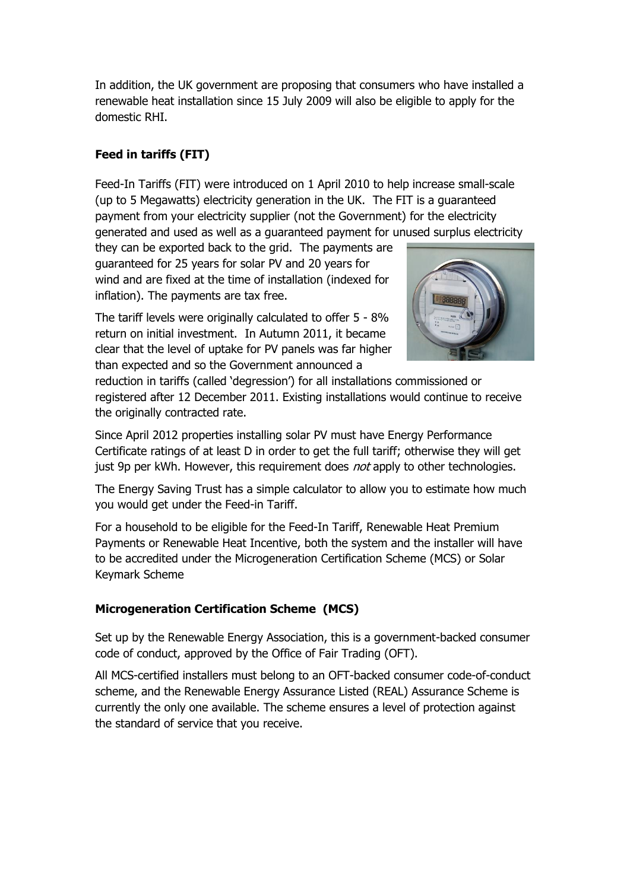In addition, the UK government are proposing that consumers who have installed a renewable heat installation since 15 July 2009 will also be eligible to apply for the domestic RHI.

# **Feed in tariffs (FIT)**

Feed-In Tariffs (FIT) were introduced on 1 April 2010 to help increase small-scale (up to 5 Megawatts) electricity generation in the UK. The FIT is a guaranteed payment from your electricity supplier (not the Government) for the electricity generated and used as well as a guaranteed payment for unused surplus electricity

they can be exported back to the grid. The payments are guaranteed for 25 years for solar PV and 20 years for wind and are fixed at the time of installation (indexed for inflation). The payments are tax free.

The tariff levels were originally calculated to offer 5 - 8% return on initial investment. In Autumn 2011, it became clear that the level of uptake for PV panels was far higher than expected and so the Government announced a



reduction in tariffs (called "degression") for all installations commissioned or registered after 12 December 2011. Existing installations would continue to receive the originally contracted rate.

Since April 2012 properties installing solar PV must have Energy Performance Certificate ratings of at least D in order to get the full tariff; otherwise they will get just 9p per kWh. However, this requirement does *not* apply to other technologies.

The Energy Saving Trust has a simple [calculator](http://www.energysavingtrust.org.uk/Generate-your-own-energy/Cashback-Calculator) to allow you to estimate how much you would get under the Feed-in Tariff.

For a household to be eligible for the [Feed-In Tariff,](http://www.energysavingtrust.org.uk/Generating-energy/Getting-money-back/Feed-In-Tariffs-scheme-FITs) [Renewable Heat Premium](http://www.energysavingtrust.org.uk/Generating-energy/Getting-money-back/Renewable-Heat-Premium-Payment-Phase-2) [Payments](http://www.energysavingtrust.org.uk/Generating-energy/Getting-money-back/Renewable-Heat-Premium-Payment-Phase-2) or [Renewable Heat Incentive,](http://www.energysavingtrust.org.uk/Generating-energy/Getting-money-back/Renewable-Heat-Incentive-RHI) both the system and the installer will have to be accredited under the Microgeneration Certification Scheme (MCS) or Solar Keymark Scheme

#### **Microgeneration Certification Scheme (MCS)**

Set up by the Renewable Energy Association, this is a government-backed consumer code of conduct, approved by the Office of Fair Trading (OFT).

All MCS-certified installers must belong to an OFT-backed consumer code-of-conduct scheme, and the Renewable Energy Assurance Listed (REAL) Assurance Scheme is currently the only one available. The scheme ensures a level of protection against the standard of service that you receive.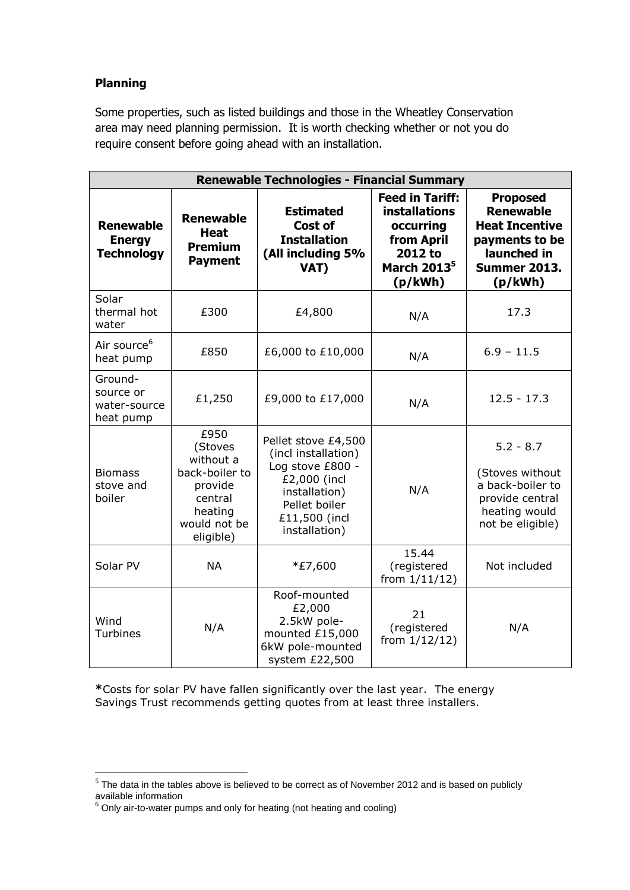#### **Planning**

Some properties, such as listed buildings and those in the Wheatley Conservation area may need planning permission. It is worth checking whether or not you do require consent before going ahead with an installation.

| <b>Renewable Technologies - Financial Summary</b>      |                                                                                                              |                                                                                                                                                    |                                                                                                                            |                                                                                                                                 |
|--------------------------------------------------------|--------------------------------------------------------------------------------------------------------------|----------------------------------------------------------------------------------------------------------------------------------------------------|----------------------------------------------------------------------------------------------------------------------------|---------------------------------------------------------------------------------------------------------------------------------|
| <b>Renewable</b><br><b>Energy</b><br><b>Technology</b> | <b>Renewable</b><br><b>Heat</b><br><b>Premium</b><br><b>Payment</b>                                          | <b>Estimated</b><br><b>Cost of</b><br><b>Installation</b><br>(All including 5%<br>VAT)                                                             | <b>Feed in Tariff:</b><br><b>installations</b><br>occurring<br>from April<br>2012 to<br>March 2013 <sup>5</sup><br>(p/kWh) | <b>Proposed</b><br><b>Renewable</b><br><b>Heat Incentive</b><br>payments to be<br>launched in<br><b>Summer 2013.</b><br>(p/kWh) |
| Solar<br>thermal hot<br>water                          | £300                                                                                                         | £4,800                                                                                                                                             | N/A                                                                                                                        | 17.3                                                                                                                            |
| Air source <sup>6</sup><br>heat pump                   | £850                                                                                                         | £6,000 to £10,000                                                                                                                                  | N/A                                                                                                                        | $6.9 - 11.5$                                                                                                                    |
| Ground-<br>source or<br>water-source<br>heat pump      | £1,250                                                                                                       | £9,000 to £17,000                                                                                                                                  | N/A                                                                                                                        | $12.5 - 17.3$                                                                                                                   |
| <b>Biomass</b><br>stove and<br>boiler                  | £950<br>(Stoves<br>without a<br>back-boiler to<br>provide<br>central<br>heating<br>would not be<br>eligible) | Pellet stove £4,500<br>(incl installation)<br>Log stove £800 -<br>£2,000 (incl<br>installation)<br>Pellet boiler<br>£11,500 (incl<br>installation) | N/A                                                                                                                        | $5.2 - 8.7$<br>(Stoves without<br>a back-boiler to<br>provide central<br>heating would<br>not be eligible)                      |
| Solar PV                                               | <b>NA</b>                                                                                                    | *£7,600                                                                                                                                            | 15.44<br>(registered<br>from $1/11/12$ )                                                                                   | Not included                                                                                                                    |
| Wind<br>Turbines                                       | N/A                                                                                                          | Roof-mounted<br>£2,000<br>2.5kW pole-<br>mounted £15,000<br>6kW pole-mounted<br>system £22,500                                                     | 21<br>(registered<br>from $1/12/12$ )                                                                                      | N/A                                                                                                                             |

**\***Costs for solar PV have fallen significantly over the last year. The energy Savings Trust recommends getting quotes from at least three installers.

1

 $<sup>5</sup>$  The data in the tables above is believed to be correct as of November 2012 and is based on publicly</sup> available information

 $6$  Only air-to-water pumps and only for heating (not heating and cooling)